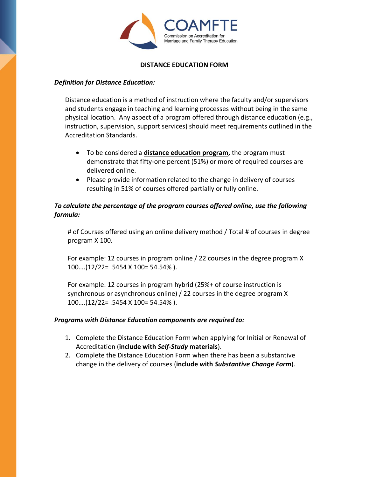

## **DISTANCE EDUCATION FORM**

## *Definition for Distance Education:*

Distance education is a method of instruction where the faculty and/or supervisors and students engage in teaching and learning processes without being in the same physical location. Any aspect of a program offered through distance education (e.g., instruction, supervision, support services) should meet requirements outlined in the Accreditation Standards.

- To be considered a **distance education program,** the program must demonstrate that fifty-one percent (51%) or more of required courses are delivered online.
- Please provide information related to the change in delivery of courses resulting in 51% of courses offered partially or fully online.

## *To calculate the percentage of the program courses offered online, use the following formula:*

# of Courses offered using an online delivery method / Total # of courses in degree program X 100.

For example: 12 courses in program online / 22 courses in the degree program X 100….(12/22= .5454 X 100= 54.54% ).

For example: 12 courses in program hybrid (25%+ of course instruction is synchronous or asynchronous online) / 22 courses in the degree program X 100….(12/22= .5454 X 100= 54.54% ).

## *Programs with Distance Education components are required to:*

- 1. Complete the Distance Education Form when applying for Initial or Renewal of Accreditation (**include with** *Self-Study* **materials**).
- 2. Complete the Distance Education Form when there has been a substantive change in the delivery of courses (**include with** *Substantive Change Form*).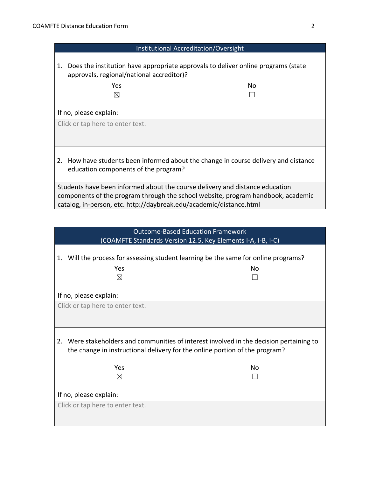| Institutional Accreditation/Oversight                                                                                                                                                                                                   |     |  |
|-----------------------------------------------------------------------------------------------------------------------------------------------------------------------------------------------------------------------------------------|-----|--|
| Does the institution have appropriate approvals to deliver online programs (state<br>1.<br>approvals, regional/national accreditor)?                                                                                                    |     |  |
| Yes                                                                                                                                                                                                                                     | No. |  |
| $\boxtimes$                                                                                                                                                                                                                             |     |  |
| If no, please explain:                                                                                                                                                                                                                  |     |  |
| Click or tap here to enter text.                                                                                                                                                                                                        |     |  |
|                                                                                                                                                                                                                                         |     |  |
|                                                                                                                                                                                                                                         |     |  |
| How have students been informed about the change in course delivery and distance<br>2.<br>education components of the program?                                                                                                          |     |  |
| Students have been informed about the course delivery and distance education<br>components of the program through the school website, program handbook, academic<br>catalog, in-person, etc. http://daybreak.edu/academic/distance.html |     |  |

| <b>Outcome-Based Education Framework</b><br>(COAMFTE Standards Version 12.5, Key Elements I-A, I-B, I-C)                                                               |    |  |
|------------------------------------------------------------------------------------------------------------------------------------------------------------------------|----|--|
| Will the process for assessing student learning be the same for online programs?<br>1.<br>Yes<br>⊠                                                                     | No |  |
| If no, please explain:                                                                                                                                                 |    |  |
| Click or tap here to enter text.                                                                                                                                       |    |  |
| 2. Were stakeholders and communities of interest involved in the decision pertaining to<br>the change in instructional delivery for the online portion of the program? |    |  |
| Yes                                                                                                                                                                    | Nο |  |
| ⊠                                                                                                                                                                      |    |  |
| If no, please explain:                                                                                                                                                 |    |  |
| Click or tap here to enter text.                                                                                                                                       |    |  |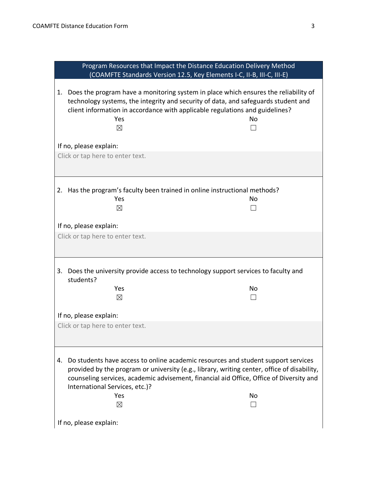| Program Resources that Impact the Distance Education Delivery Method                                                                                                                                                                                                                                                                  |    |  |
|---------------------------------------------------------------------------------------------------------------------------------------------------------------------------------------------------------------------------------------------------------------------------------------------------------------------------------------|----|--|
| (COAMFTE Standards Version 12.5, Key Elements I-C, II-B, III-C, III-E)                                                                                                                                                                                                                                                                |    |  |
| Does the program have a monitoring system in place which ensures the reliability of<br>1.<br>technology systems, the integrity and security of data, and safeguards student and<br>client information in accordance with applicable regulations and guidelines?<br>Yes<br>$\boxtimes$                                                 | No |  |
| If no, please explain:                                                                                                                                                                                                                                                                                                                |    |  |
| Click or tap here to enter text.                                                                                                                                                                                                                                                                                                      |    |  |
|                                                                                                                                                                                                                                                                                                                                       |    |  |
|                                                                                                                                                                                                                                                                                                                                       |    |  |
| 2. Has the program's faculty been trained in online instructional methods?<br>Yes<br>$\boxtimes$                                                                                                                                                                                                                                      | No |  |
| If no, please explain:                                                                                                                                                                                                                                                                                                                |    |  |
| Click or tap here to enter text.                                                                                                                                                                                                                                                                                                      |    |  |
|                                                                                                                                                                                                                                                                                                                                       |    |  |
| Does the university provide access to technology support services to faculty and<br>3.<br>students?                                                                                                                                                                                                                                   |    |  |
| Yes                                                                                                                                                                                                                                                                                                                                   | No |  |
| $\boxtimes$                                                                                                                                                                                                                                                                                                                           |    |  |
|                                                                                                                                                                                                                                                                                                                                       |    |  |
| If no, please explain:                                                                                                                                                                                                                                                                                                                |    |  |
| Click or tap here to enter text.                                                                                                                                                                                                                                                                                                      |    |  |
|                                                                                                                                                                                                                                                                                                                                       |    |  |
| Do students have access to online academic resources and student support services<br>4.<br>provided by the program or university (e.g., library, writing center, office of disability,<br>counseling services, academic advisement, financial aid Office, Office of Diversity and<br>International Services, etc.)?<br>Yes<br>No<br>⊠ |    |  |
|                                                                                                                                                                                                                                                                                                                                       |    |  |
| If no, please explain:                                                                                                                                                                                                                                                                                                                |    |  |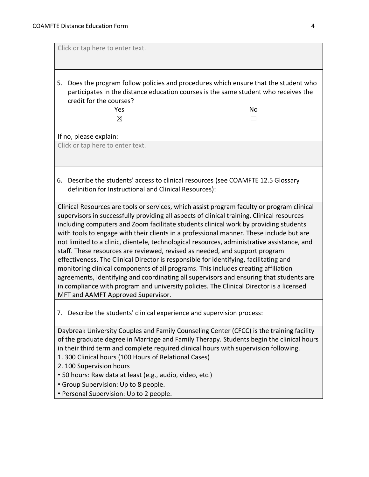| Click or tap here to enter text.                                                                                                                                                                                                                                                                                                                                                                                                                                                                                                                                                                                                                                                                                                                                                                                                                                                                                                                                     |  |  |
|----------------------------------------------------------------------------------------------------------------------------------------------------------------------------------------------------------------------------------------------------------------------------------------------------------------------------------------------------------------------------------------------------------------------------------------------------------------------------------------------------------------------------------------------------------------------------------------------------------------------------------------------------------------------------------------------------------------------------------------------------------------------------------------------------------------------------------------------------------------------------------------------------------------------------------------------------------------------|--|--|
| Does the program follow policies and procedures which ensure that the student who<br>5.<br>participates in the distance education courses is the same student who receives the<br>credit for the courses?<br>Yes<br>No<br>$\times$<br>If no, please explain:                                                                                                                                                                                                                                                                                                                                                                                                                                                                                                                                                                                                                                                                                                         |  |  |
| Click or tap here to enter text.                                                                                                                                                                                                                                                                                                                                                                                                                                                                                                                                                                                                                                                                                                                                                                                                                                                                                                                                     |  |  |
| Describe the students' access to clinical resources (see COAMFTE 12.5 Glossary<br>6.<br>definition for Instructional and Clinical Resources):                                                                                                                                                                                                                                                                                                                                                                                                                                                                                                                                                                                                                                                                                                                                                                                                                        |  |  |
| Clinical Resources are tools or services, which assist program faculty or program clinical<br>supervisors in successfully providing all aspects of clinical training. Clinical resources<br>including computers and Zoom facilitate students clinical work by providing students<br>with tools to engage with their clients in a professional manner. These include but are<br>not limited to a clinic, clientele, technological resources, administrative assistance, and<br>staff. These resources are reviewed, revised as needed, and support program<br>effectiveness. The Clinical Director is responsible for identifying, facilitating and<br>monitoring clinical components of all programs. This includes creating affiliation<br>agreements, identifying and coordinating all supervisors and ensuring that students are<br>in compliance with program and university policies. The Clinical Director is a licensed<br>MFT and AAMFT Approved Supervisor. |  |  |
| 7. Describe the students' clinical experience and supervision process:                                                                                                                                                                                                                                                                                                                                                                                                                                                                                                                                                                                                                                                                                                                                                                                                                                                                                               |  |  |
| Daybreak University Couples and Family Counseling Center (CFCC) is the training facility<br>of the graduate degree in Marriage and Family Therapy. Students begin the clinical hours<br>in their third term and complete required clinical hours with supervision following.<br>1. 300 Clinical hours (100 Hours of Relational Cases)<br>2. 100 Supervision hours<br>• 50 hours: Raw data at least (e.g., audio, video, etc.)<br>• Group Supervision: Up to 8 people.<br>• Personal Supervision: Up to 2 people.                                                                                                                                                                                                                                                                                                                                                                                                                                                     |  |  |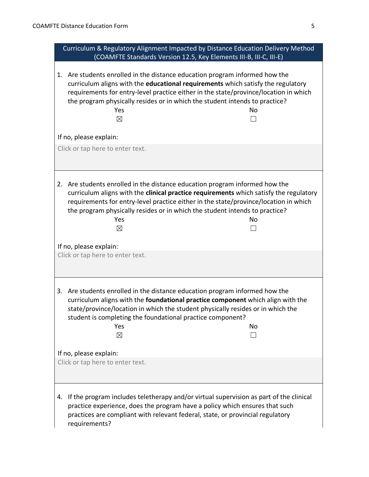| Curriculum & Regulatory Alignment Impacted by Distance Education Delivery Method<br>(COAMFTE Standards Version 12.5, Key Elements III-B, III-C, III-E)                                                                                                                                                                                                                          |  |
|---------------------------------------------------------------------------------------------------------------------------------------------------------------------------------------------------------------------------------------------------------------------------------------------------------------------------------------------------------------------------------|--|
| Are students enrolled in the distance education program informed how the<br>1.<br>curriculum aligns with the educational requirements which satisfy the regulatory<br>requirements for entry-level practice either in the state/province/location in which<br>the program physically resides or in which the student intends to practice?<br>Yes<br>No<br>$\boxtimes$<br>$\sim$ |  |
| If no, please explain:                                                                                                                                                                                                                                                                                                                                                          |  |
| Click or tap here to enter text.                                                                                                                                                                                                                                                                                                                                                |  |
| 2. Are students enrolled in the distance education program informed how the<br>curriculum aligns with the clinical practice requirements which satisfy the regulatory<br>requirements for entry-level practice either in the state/province/location in which<br>the program physically resides or in which the student intends to practice?<br>Yes<br><b>No</b><br>$\boxtimes$ |  |
| If no, please explain:<br>Click or tap here to enter text.                                                                                                                                                                                                                                                                                                                      |  |
| Are students enrolled in the distance education program informed how the<br>3.<br>curriculum aligns with the foundational practice component which align with the<br>state/province/location in which the student physically resides or in which the<br>student is completing the foundational practice component?<br>Yes<br>No<br>$\boxtimes$                                  |  |
| If no, please explain:<br>Click or tap here to enter text.                                                                                                                                                                                                                                                                                                                      |  |
| If the program includes teletherapy and/or virtual supervision as part of the clinical<br>4.<br>practice experience, does the program have a policy which ensures that such<br>practices are compliant with relevant federal, state, or provincial regulatory<br>requirements?                                                                                                  |  |